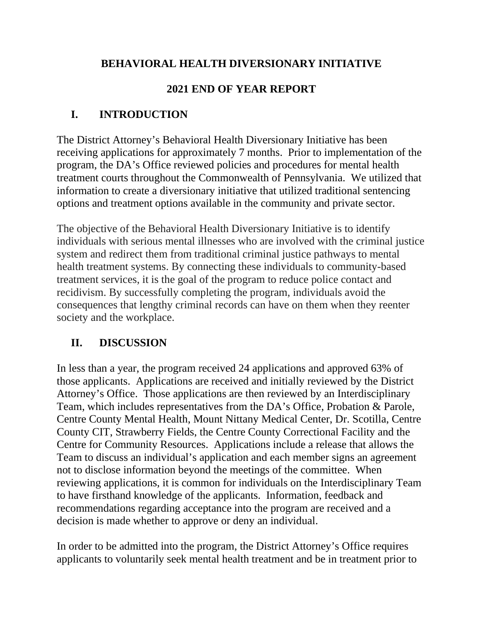### **BEHAVIORAL HEALTH DIVERSIONARY INITIATIVE**

## **2021 END OF YEAR REPORT**

# **I. INTRODUCTION**

The District Attorney's Behavioral Health Diversionary Initiative has been receiving applications for approximately 7 months. Prior to implementation of the program, the DA's Office reviewed policies and procedures for mental health treatment courts throughout the Commonwealth of Pennsylvania. We utilized that information to create a diversionary initiative that utilized traditional sentencing options and treatment options available in the community and private sector.

The objective of the Behavioral Health Diversionary Initiative is to identify individuals with serious mental illnesses who are involved with the criminal justice system and redirect them from traditional criminal justice pathways to mental health treatment systems. By connecting these individuals to community-based treatment services, it is the goal of the program to reduce police contact and recidivism. By successfully completing the program, individuals avoid the consequences that lengthy criminal records can have on them when they reenter society and the workplace.

# **II. DISCUSSION**

In less than a year, the program received 24 applications and approved 63% of those applicants. Applications are received and initially reviewed by the District Attorney's Office. Those applications are then reviewed by an Interdisciplinary Team, which includes representatives from the DA's Office, Probation & Parole, Centre County Mental Health, Mount Nittany Medical Center, Dr. Scotilla, Centre County CIT, Strawberry Fields, the Centre County Correctional Facility and the Centre for Community Resources. Applications include a release that allows the Team to discuss an individual's application and each member signs an agreement not to disclose information beyond the meetings of the committee. When reviewing applications, it is common for individuals on the Interdisciplinary Team to have firsthand knowledge of the applicants. Information, feedback and recommendations regarding acceptance into the program are received and a decision is made whether to approve or deny an individual.

In order to be admitted into the program, the District Attorney's Office requires applicants to voluntarily seek mental health treatment and be in treatment prior to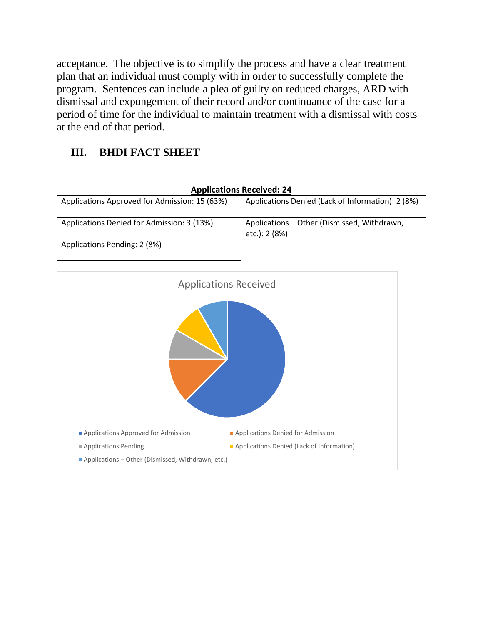acceptance. The objective is to simplify the process and have a clear treatment plan that an individual must comply with in order to successfully complete the program. Sentences can include a plea of guilty on reduced charges, ARD with dismissal and expungement of their record and/or continuance of the case for a period of time for the individual to maintain treatment with a dismissal with costs at the end of that period.

## **III. BHDI FACT SHEET**

| Applications Neceived. 24                     |                                                              |
|-----------------------------------------------|--------------------------------------------------------------|
| Applications Approved for Admission: 15 (63%) | Applications Denied (Lack of Information): 2 (8%)            |
| Applications Denied for Admission: 3 (13%)    | Applications - Other (Dismissed, Withdrawn,<br>etc.): 2 (8%) |
| Applications Pending: 2 (8%)                  |                                                              |



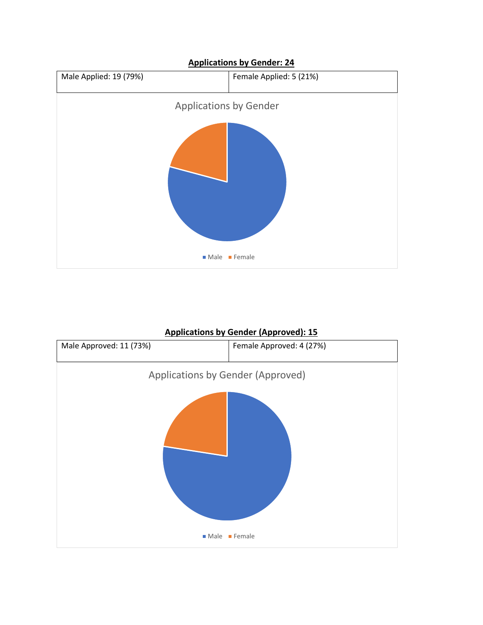

#### **Applications by Gender (Approved): 15**

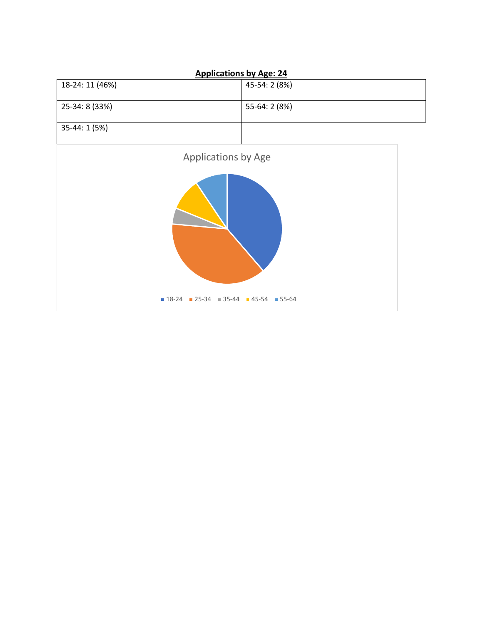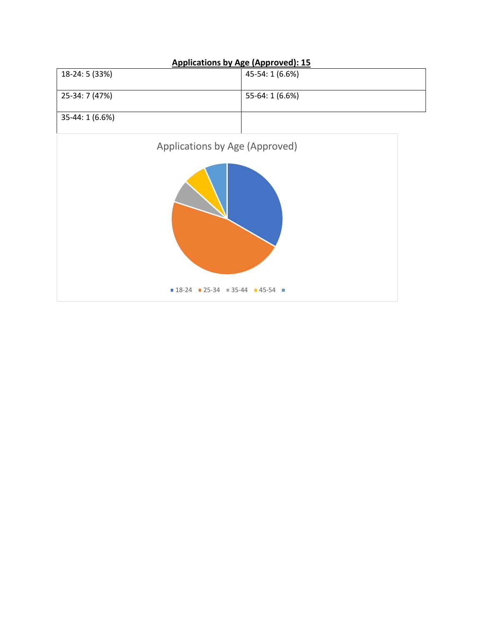

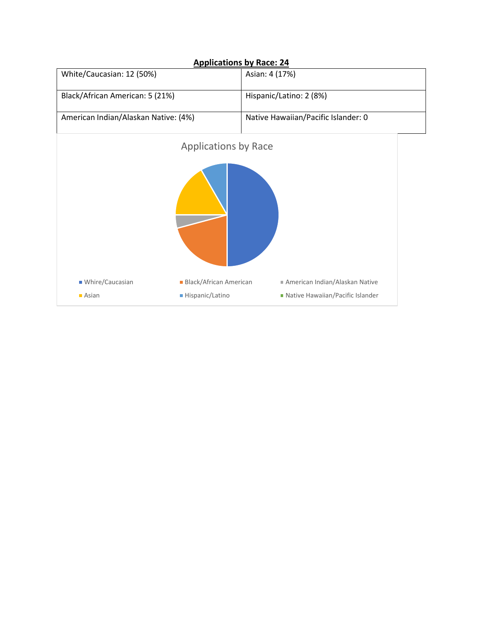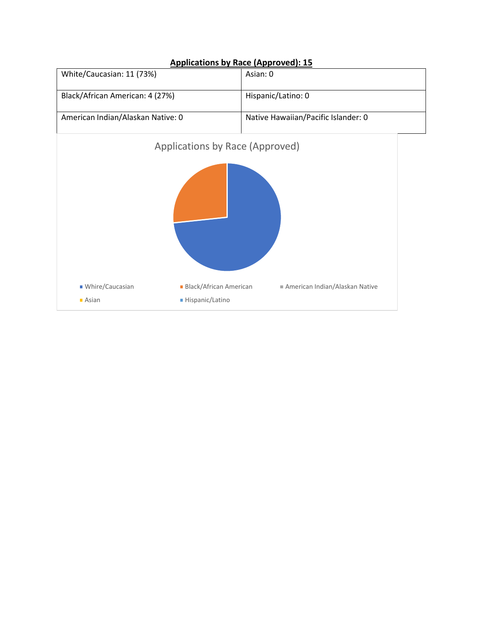

#### **Applications by Race (Approved): 15**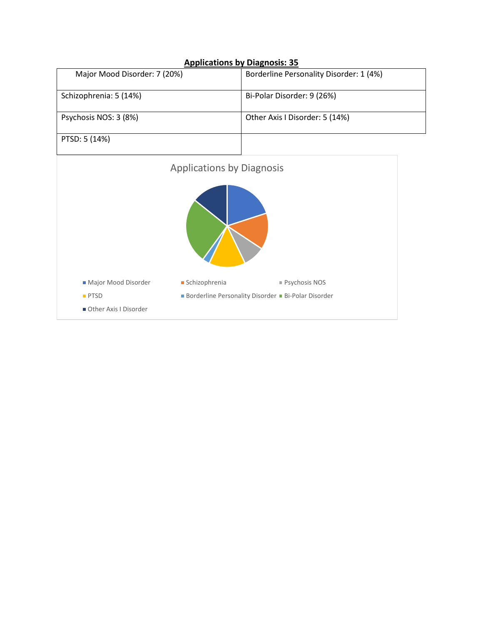#### **Applications by Diagnosis: 35**

| Major Mood Disorder: 7 (20%) | Borderline Personality Disorder: 1 (4%) |
|------------------------------|-----------------------------------------|
| Schizophrenia: 5 (14%)       | Bi-Polar Disorder: 9 (26%)              |
| Psychosis NOS: 3 (8%)        | Other Axis I Disorder: 5 (14%)          |
| PTSD: 5 (14%)                |                                         |

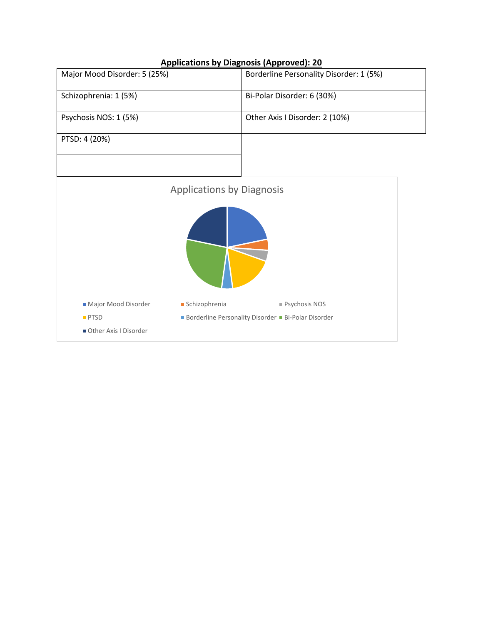#### **Applications by Diagnosis (Approved): 20**

| Major Mood Disorder: 5 (25%) | Borderline Personality Disorder: 1 (5%) |
|------------------------------|-----------------------------------------|
| Schizophrenia: 1 (5%)        | Bi-Polar Disorder: 6 (30%)              |
| Psychosis NOS: 1 (5%)        | Other Axis I Disorder: 2 (10%)          |
| PTSD: 4 (20%)                |                                         |
|                              |                                         |